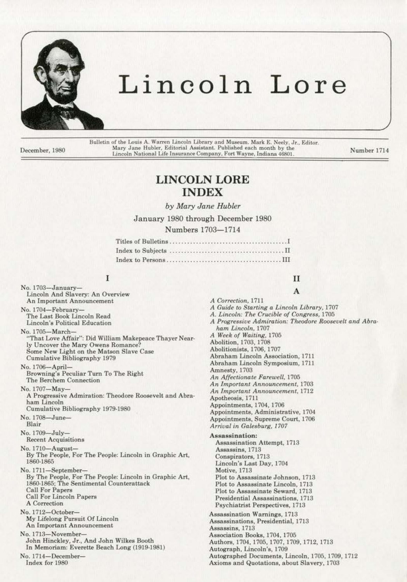

# Lincoln Lore

December, 1980

Bulletin of the Louis A. Warren Lincoln Library and Museum. Mark E. Neely, Jr., Editor. Mary Jane Hubler, Editorial Assistant. Published each month by the Lincoln National Life Insurance Company, Fort Wayne, Indiana 46801.

Number 1714

## **LINCOLN LORE INDEX**

by Mary Jane Hubler

January 1980 through December 1980

Numbers 1703-1714

#### I

No. 1703-January-Lincoln And Slavery: An Overview An Important Announcement No. 1704-February-The Last Book Lincoln Read Lincoln's Political Education No. 1705-March-"That Love Affair": Did William Makepeace Thayer Nearly Uncover the Mary Owens Romance? Some New Light on the Matson Slave Case Cumulative Bibliography 1979 No. 1706-April-Browning's Peculiar Turn To The Right The Berchem Connection No. 1707-May-A Progressive Admiration: Theodore Roosevelt and Abraham Lincoln Cumulative Bibliography 1979-1980 No. 1708-June-Blair No. 1709-July-**Recent Acquisitions** No. 1710-August-By The People, For The People: Lincoln in Graphic Art, 1860-1865 No. 1711—September—<br>By The People, For The People: Lincoln in Graphic Art, 1860-1865; The Sentimental Counterattack Call For Papers **Call For Lincoln Papers** A Correction No. 1712-October-My Lifelong Pursuit Of Lincoln An Important Announcement No. 1713-November-John Hinckley, Jr., And John Wilkes Booth In Memoriam: Everette Beach Long (1919-1981) No. 1714-December-Index for 1980

### $_{II}$ A

A Correction, 1711 A Guide to Starting a Lincoln Library, 1707 A. Lincoln: The Crucible of Congress, 1705 A Progressive Admiration: Theodore Roosevelt and Abraham Lincoln, 1707 A Week of Waiting, 1705 Abolition, 1703, 1708 Abolitionists, 1706, 1707 Abraham Lincoln Association, 1711 Abraham Lincoln Symposium, 1711 Amnesty, 1703 An Affectionate Farewell, 1705 An Important Announcement, 1703 An Important Announcement, 1712 Apotheosis, 1711 Appointments, 1704, 1706 Appointments, Administrative, 1704 Appointments, Supreme Court, 1706 Arrival in Galesburg, 1707 Assassination: Assassination Attempt, 1713 Assassins, 1713 Conspirators, 1713 Lincoln's Last Day, 1704 Motive, 1713 Plot to Assassinate Johnson, 1713 Plot to Assassinate Lincoln, 1713 Plot to Assassinate Seward, 1713 Presidential Assassinations, 1713 Psychiatrist Perspectives, 1713 Assassination Warnings, 1713 Assassinations, Presidential, 1713 Assassins, 1713 Association Books, 1704, 1705 Authors, 1704, 1705, 1707, 1709, 1712, 1713 Autograph, Lincoln's, 1709 Autographed Documents, Lincoln, 1705, 1709, 1712 Axioms and Quotations, about Slavery, 1703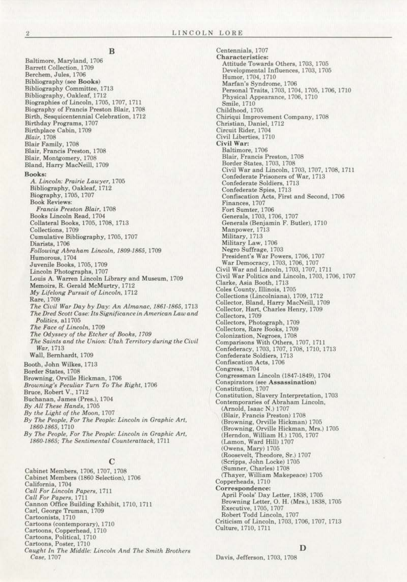B

Baltimore, Maryland, 1706 Barrett Collection, 1709 Berchem, Jules. 1706 Bibliography (see Books) Bibliography Committee, 1713 Bibliography, Oakleaf, 1712 Biographies of Lincoln, 1705, 1707, 1711 Biography of Francis Preston Blair, 1708 Birth, Sesquicentennial Celebration, 1712 Birthday Programs, 1707 Birthplace Cabin, 1709 *Blair,* 1708 Blair Family, 1708 **Blair, Francis Preston, 1708 Blair, Montgomery, 1708**  Bland, Harry MacNeill, 1709 Books: **A.** *Lincoln: Prairie* Lawyer~ **1705**  Bibliography, Oakleaf, 1712 Biography, 1705, 1707 Book Reviews:  $Francis$  *Preston Blair*, 1708 Books Lincoln Read, 1704 Collateral Books, 1705, 1708, 1713 Collections, 1709 Cumulative Bibliography. 1705. 1707 Diarists, 1706 *Following Abraham Lincoln, 1809-1865.* 1709 **Humorous, 1704**  Juvenile Books, 1705, 1709 Lincoln Photographs, 1707 Louis A. Warren Lincoln Library and Museum, 1709 Memoirs, R. Gerald McMurtry, 1712 *My Lifelong Pursuit of Lincoln,* 1712 Rare.1709 *The Civil War Day by Day: An Almanac, 1861-1865,* 1713 *The Dred Scott Case: Its Significance in American Law and Politics,* a11705 *The Face of Lincoln,* 1709 *The Odyssey of the Etcher of Books, 1709 The Saints and the Union: Utah Territory during the Civil War,* 1713 Wall, Bernhardt, 1709 Booth. John Wilkes. 1713 Border States, 1708 **Browning, Orville Hickman, 1706**  *Browning's Peculiar Turn To The Right,* 1706 Bruce, Robert V., 1712 Buchanan, James (Pres.). 1704 *By All These Hands,* 1705 *By the Light of the Moon,* 1707 *By The Peopk, For The People: Lincoln in Graphic Art, 1860·1865.* 1710 *By The People, For The People: Lincoln in Graphic Art, 1860·1865; The Sentimental Counterattack,* 1711

# c

Cabinet Members, 1706, 1707, 1708 Cabinet Members (1860 Selection), 1706 California, 1704 *Call For Lincoln Papers,* 1711 *Call For Papers,* 1711 Cannon Office Building Exhibit. 1710. 1711 Carl, George Truman, 1709 Cartoonists, 1710 Cartoons (contemporary), 1710 Cartoons, Copperhead, 1710 Cartoons, Political, 1710 Cartoons, Poster, 1710 *Caught In The Middle: Lincoln And The Smith Brothers Case,* 1707

Centennials, 1707 **Characteristics:**  Attitude Towards Others, 1703, 1705 Developmental Influences, 1703, 1705 Humor, 1704, 1710 Marfan's Syndrome, 1706 Personal Traits, 1703, 1704, 1705. 1706, 1710 Physical Appearance. 1706, 1710 Smile, 1710 Childhood, 1705 Chiriqui Improvement Company, 1708 Christian, Daniel, 1712 Circuit Rider, 1704 Civil Liberties, 1710 **Civil War:** Baltimore, 1706 Blair, Francis Preston, 1708 Border States, 1703, 1708 Civil War and Lincoln, 1703, 1707, 1708,1711 Confederate Prisoners of War, 1713 Confederate Soldiers, 1713 Confederate Spies, 1713 Confiscation Acts, First and Second, 1706 Finances, 1707 Fort Sumter, 1708 Generals, 1703, 1706, 1707 Generals (Benjamin F. Butler), 1710 Manpower. 1713 Military, 1713 Military Law, 1706 Negro Suffrage, 1703 President's War Powers, 1706, 1707 War Democracy, 1703, 1706. 1707 Civil War and Lincoln, 1703, 1707. 1711 Civil War Politics and Lincoln, 1703, 1706, 1707 Clarke, Asia Booth, 1713 Coles County, Illinois, 1705 Collections (Lincolniana), 1709, 1712 Collector, Bland, Harry MacNeill, 1709 Collector, Hart, Charles Henry, 1709 Collectors, 1709 Collectors, Photograph, 1709 Collectors, Rare Books, 1709 Colonization, Negroes, 1708 Comparisons With Others, 1707, 1711 Confederacy, 1703, 1707, 1708, 1710, 1713 Confederate Soldiers, 1713 Confiscation Acts, 1706 Congress, 1704 Congressman Lincoln (1847·1849), 1704 Conspirators (see Assassination) Constitution, 1707 Constitution, Slavery Interpretation, 1703 Contemporaries *of* Abraham Lincoln. (Arnold, Isaac N.) 1707 (Blair, Francis Preston) 1708 (Browning, Orville Hickman) 1705 (Browning, Orville Hickman, Mrs.) 1705 (Herndon, William H.) 1705, 1707 (Lamon, Ward Hill) 1707 (Owens, Mary) 1705 (Roosevelt, Theodore, Sr.) 1707 (Scripps, John Locke) 1705 (Sumner, Charles) 1708 (Thayer, William Makepeace) 1705 Copperheads, 1710 **Correspondence:**  April Fools' Day Letter, 1838, 1705 Browning Letter, 0. H. (Mrs.), 1838, 1705 Executive, 1705. 1707 Robert Todd Lincoln, 1707 Criticism of Lincoln, 1703, 1706, 1707, 1713 Culture, 1710, 1711

Davis, Jefferson, 1703, 1708

D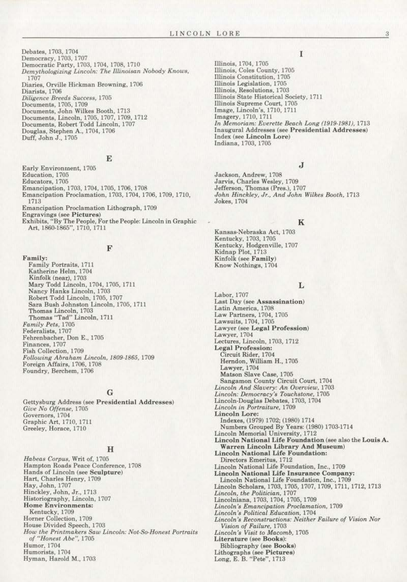Debates, 1703, 1704 Democracy, 1703, 1707 Democratic Party, 1703, 1704, 1708, 1710 Demythologizing Lincoln: The Illinoisan Nobody Knows, 1707 Diaries, Orville Hickman Browning, 1706 Diarists, 1706 Diligence Breeds Success, 1705 Documents, 1705, 1709 Documents, John Wilkes Booth, 1713 Documents, Lincoln, 1705, 1707, 1709, 1712 Documents, Robert Todd Lincoln, 1707 Douglas, Stephen A., 1704, 1706 Duff, John J., 1705

#### E

Early Environment, 1705 Education, 1705 Educators, 1705 Emancipation, 1703, 1704, 1705, 1706, 1708 Emancipation Proclamation, 1703, 1704, 1706, 1709, 1710, 1713 Emancipation Proclamation Lithograph, 1709

Engravings (see Pictures)<br>Exhibits, "By The People, For the People: Lincoln in Graphic Art, 1860-1865", 1710, 1711

#### F

Family: Family Portraits, 1711 Katherine Helm, 1704 Kinfolk (near), 1703 Mary Todd Lincoln, 1704, 1705, 1711 Nancy Hanks Lincoln, 1703<br>Robert Todd Lincoln, 1705, 1707 Sara Bush Johnston Lincoln, 1705, 1711 Thomas Lincoln, 1703<br>Thomas "Tad" Lincoln, 1711 Family Pets, 1705 Federalists, 1707 Fehrenbacher, Don E., 1705 Finances, 1707 Fish Collection, 1709 Following Abraham Lincoln, 1809-1865, 1709 Foreign Affairs, 1706, 1708 Foundry, Berchem, 1706

#### G

Gettysburg Address (see Presidential Addresses) Give No Offense, 1705 Governors, 1704 Graphic Art, 1710, 1711 Greeley, Horace, 1710

#### н

Habeas Corpus, Writ of, 1705 Hampton Roads Peace Conference, 1708 Hands of Lincoln (see Sculpture) Hart, Charles Henry, 1709 Hay, John, 1707<br>Hinckley, John, Jr., 1713 Historiography, Lincoln, 1707 **Home Environments:** Kentucky, 1709 Horner Collection, 1709 House Divided Speech, 1703 How the Printmakers Saw Lincoln: Not-So-Honest Portraits of "Honest Abe", 1705 Humor, 1704 Humorists, 1704 Hyman, Harold M., 1703

I

Illinois, 1704, 1705 Illinois, Coles County, 1705 Illinois Constitution, 1705 Illinois Legislation, 1705 Illinois, Resolutions, 1703 Illinois State Historical Society, 1711 Illinois Supreme Court, 1705 Image, Lincoln's, 1710, 1711 Imagery, 1710, 1711<br>In Memoriam: Everette Beach Long (1919-1981), 1713 Inaugural Addresses (see Presidential Addresses) Index (see Lincoln Lore) Indiana, 1703, 1705

#### J

Jackson, Andrew, 1708 Jarvis, Charles Wesley, 1709 Jefferson, Thomas (Pres.), 1707 John Hinckley, Jr., And John Wilkes Booth, 1713 Jokes, 1704

#### K

Kansas-Nebraska Act, 1703 Kentucky, 1703, 1705 Kentucky, Hodgenville, 1707 Kidnap Plot, 1713 Kinfolk (see Family) Know Nothings, 1704

#### L

Labor, 1707 Last Day (see Assassination) Latin America, 1708 Law Partners, 1704, 1705 Lawsuits, 1704, 1705 Lawyer (see Legal Profession) Lawyer, 1704 Lectures, Lincoln, 1703, 1712 **Legal Profession:** Circuit Rider, 1704 Herndon, William H., 1705<br>Lawyer, 1704 Matson Slave Case, 1705 Sangamon County Circuit Court, 1704 Lincoln And Slavery: An Overview, 1703 Lincoln: Democracy's Touchstone, 1705 Lincoln-Douglas Debates, 1703, 1704 Lincoln in Portraiture, 1709 Lincoln Lore: Indexes, (1979) 1702; (1980) 1714 Numbers Grouped By Years: (1980) 1703-1714 Lincoln Memorial University, 1712 Lincoln National Life Foundation (see also the Louis A. Warren Lincoln Library And Museum) **Lincoln National Life Foundation:** Directors Emeritus, 1712 Lincoln National Life Foundation, Inc., 1709 Lincoln National Life Insurance Company: Lincoln National Life Foundation, Inc., 1709 Lincoln Scholars, 1703, 1705, 1707, 1709, 1711, 1712, 1713 *Lincoln, the Politician, 1707*<br>Lincolniana, 1703, 1704, 1705, 1709 Lincoln's Emancipation Proclamation, 1709 Lincoln's Political Education, 1704 Lincoln's Reconstructions: Neither Failure of Vision Nor Vision of Failure, 1703 Lincoln's Visit to Macomb, 1705 Literature (see Books): Bibliography (see Books) Lithographs (see Pictures)<br>Long, E. B. "Pete", 1713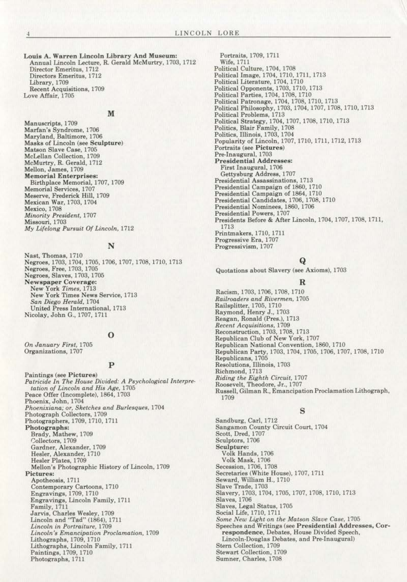Louis A. Warren Lincoln Library And Museum: Annual Lincoln Lecture, R. Gerald McMurtry, 1703, 1712 Director Emeritus, 1712 Directors Emeritus, 1712 Library, 1709 Recent Acquisitions, 1709 Love Affair, 1705

#### M

Manuscripts, 1709 Marfan's Syndrome, 1706 Maryland, Baltimore, 1706 Masks of Lincoln (see Sculpture) Matson Slave Case, 1705 McLellan Collection, 1709 McMurtry, R. Gerald, 1712 Mellon, James, 1709 **Memorial Enterprises:**  Birthplace Memorial, 1707, 1709 Memorial Services, 1707 Meserve, Frederick Hill, 1709 Mexican War, 1703, 1704 Mexico, 1708 *Minority President,* 1707 Missouri, 1703 *My Lifelong Pursuit Of Lincoln,* 1712

#### N

Nast. Thomas, 1710 Negroes, 1703, 1704, 1705, 1706,1707, 1708,1710,1713 Negroes. Free, 1703, 1705 Negroes. Slaves, 1703, 1705 **Newspaper Coverage:**  New York *Times,* 1713 New York Times News Service, 1713 *San Diego Herald, 1104*  United Press International. 1713 Nicolay, John G., 1707, 1711

#### $\bf o$

 $On$  January First, 1705 Organizations, 1707

#### p

Paintings (see Pictures) Patricide In The House Divided: A Psychological Interpre*lotion of Lincoln and His Age,* 1705 Peace Offer (Incomplete), 1864, 1703 Phoenix, John, 1704 *Phoenixiana; or, Sketches and Burlesques,* 1704 Photograph Collectors, 1709 Photographers, 1709, 1710, 1711 Photographs: Brady, Mathew, 1709 Collectors, 1709 Gardner, Alexander, 1709 Hesler, Alexander, 1710 Hesler Plates, 1709 Mellon's Photographic History of Lincoln, 1709 **Pictures:**  Apotheosis, 1711 Contemporary Cartoons, 1710 Engravings, 1709, 1710 Engravings, Lincoln Family, 1711 Family, 1711 Jarvis, Charles Wesley, 1709 Lincoln and "Tad" (1864), 1711  $Lin <sub>co</sub> *l on Not rait ure*, 1709$ *Lincoln's Emancipation Proclamation,* **1709**  Lithographs, 1709, 1710 Lithographs, Lincoln Family, 1711 Paintings, 1709,1710 Photographs, 1711

Portraits, 1709, 1711 Wife, 1711 Political Culture, 1704, 1708 Politicallmage, 1704, 1710, 1711, 1713 Political Literature, 1704, 1710 Political Opponents, 1703, 1710, 1713 Political Parties, 1704, 1708, 1710 Political Patronage, 1704, 1708, 1710, 1713 Political Philosophy, 1703, 1704,1707,1708,1710,1713 Political Problems, 1713 Political Strategy, 1704, 1707,1708, 1710,1713 Politics, Blair Family, 1708 Politics, Illinois, 1703, 1704 Popularity of Lincoln, 1707,1710,1711,1712, 1713 Portraits (see Pictures) Pre-Inaugural, 1703 Presidential Addresses: First Inaugural, 1706 Gettysburg Address, 1707 Presidential Assassinations, 1713 Presidential Campaign of 1860, 1710 Presidential Campaign of 1864, 1710 Presidential Candidates, 1706, 1708,1710 Presidential Nominees, 1860, 1706 Presidential Powers, 1707 Presidents Before & After Lincoln, 1704,1707, 1708, 1711, 1713 Printmakers, 1710,1711 Progressive Era, 1707 Progressivism, 1707

#### Q

Quotations about Slavery (see Axioms), 1703

#### R

Racism, 1703, 1706, 1708, 1710 *Railroaders and Riuermen,* 1705 Railsplitter, 1705, 1710 Raymond, Henry J., 1703 Reagan, Ronald (Pres.), 1713 **Recent Acquisitions, 1709** Reconstruction, !703, 1708, 1713 Republican Club of New York, 1707 Republican National Convention, 1860, 1710 Republican Party, 1703.1704.1705.1706,1707.1708.1710 Republicans, 1705 Resolutions. Illinois, 1703 Richmond, 1713 *Riding the Eighth Circuit,* 1707 Roosevelt, Theodore, Jr., 1707 Russell, Gilman R., Emancipation Proclamation Lithograph, 1709

#### s

Sandburg, Carl, 1712 Sangamon County Circuit Court, 1704 Scott, Dred, 1707 Sculptors, 1706 **Sculpture:**  Yolk Hands, 1706 Yolk Mask, 1706 Secession, 1706, 1708 Secretaries (White House), 1707, 1711 Seward, William H., 1710 Slave Trade, 1703 Slavery, 1703, 1704, 1705, 1707,1708, 1710,1713 Slaves, 1706 Slaves, Legal Status, 1705 Soeial Life, 1710, 1711 *Some New Light on the Matson S/aue Case,* 1705 Speeches and Writings (see P residential Addresses, Cor- respondence, Debates, House Divided Speech, Lincoln·Douglas Debates, and Pre-Inaugural) Stem Collection, 1709 Stewart Collection, 1709 Sumner, Charles, 1708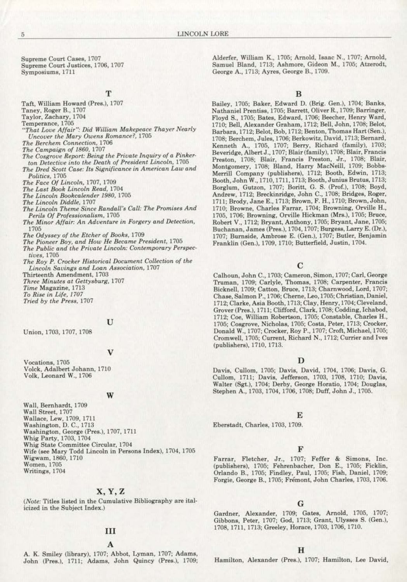Supreme Court Cases, 1707 Supreme Court Justices, 1706, 1707 Symposiums, 1711

**T**  Taft, William Howard (Pres.), 1707 Taney, Roger B., 1707 Taylor, Zachary, 1704 Temperance, 1705 *"That Love Affair": Did William Makepeace Thayer Nearly Uncover the Mary Owens Romance?, 1705 The Berchem Connection,* 1706 *The Campaign of 1860,* 1707 *The Cosgrove Report: Being the Private Inquiry of a Pinker· ton Detective into the Death of President Lincoln,* 1705 *The Dred Scott Case: It\$ Significance in American Law and Politics,* 1705 *The Face* 0{ *Lincoln,* 1707, 1709 *The Last Book Lincoln Read,* 1704 *The Lincoln Bookcalender 1980,* 1705 *The Lincoln Diddle,* 1707 *The Lincoln Theme Since Randall's Call: The Promises And Perils* 0{ *Professionalism,* 1705 The Minor Affair: An Adventure in Forgery and Detection, 1705 *The Odyssey of the Etcher of Books,* 1709 *The Pioneer Boy, and How He Became President,* 1705 *The Public and the Private Lincoln: Contemporary Perspectives,* 1705 The Roy P. Crocker Historical Document Collection of the *Lincoln Savings and Loan Association,* **1707**  Thirteenth Amendment, 1703 *Three Minutes at Gettysburg, 1707 Time* Magazine, 1713 *To Rise in Life, 1707 Tried by the Press,* 1707

#### u

Union, 1703, 1707, 1708

#### v

Vocations, 1705 Volck, Adalbert Johann, 1710 Volk, Leonard W., I 706

#### **w**

Wall, Bernhardt, 1709 Wall Street, 1707 Wallace, Lew, 1709, 1711 Washington, D. C., 1713 Washington, George (Pres.), 1707, 1711 Whig Party, I 703, 1704 Whig State Committee Circular, 1704 Wife (see Mary Todd Lincoln in Persons Index), 1704,1705 Wigwam, 1860, 1710 **Women, l705**  Writings, 1704

#### **X,** Y,Z

*(Note:* Titles listed in the Cumulative Bibliography are italicized in the Subject Index.)

#### III

A. K. Smiley (library), 1707; Abbot, Lyman, 1707; Adams, John (Pres.), 1711; Adams, John Quincy (Pres.), 1709; Alderfer, William K., 1705; Arnold, Isaac N., 1707; Arnold, Samuel Bland, 1713; Ashmore, Gideon M., 1705; Atzerodt, George A., 1713; Ayres, George B., 1709.

Bailey, 1705; Baker, Edward D. (Brig. Gen.), 1704; Banks, **Nathaniel Prentiss, 1705; Barrett, Oliver R .. 1709; Barringer,**  Floyd S., 1705; Bates, Edward, 1706; Beecher, Henry Ward, 1710; Bell, Alexander Graham, 1712; Bell, John, 1708; Belot, Barbara, 1712; Belot, Bob, 1712; Benton, Thomas Hart (Sen.), 1708; Berehem, Jules, 1706; Berkowitz, David,1713; Bernard, Kenneth A., 1705, 1707; Berry, Richard (family), 1703; Beveridge, Albert J., 1707; Blair (family), 1708; Blair, Francis Preston, 1708; Blair, Francis Preston, Jr., 1708; Blair, Montgomery, 1708; Bland, Harry MacNeill, 1709; Bobbs-Merrill Company (publishers), 1712; Booth, Edwin, 1713; Booth, John IV., 1710, 1711, 1713; Booth, Junius Brutus,1713; Borglum, Gutzon, 1707; Boritt, G. S. (Prof.), 1708; Boyd, Andrew, 1712; Breckinridge, John C., 1708; Bridges, Roger, 1711; Brody, Jane E., 1713; Brown, F. H., 1710; Brown, John, 1710; Browne, Charles Farrar, 1704; Browning, Orville H., 1705, 1706; Browning, Orville Hickman (Mrs.), 1705; Bruce, Robert V., 1712; Bryant, Anthony, 1705; Bryant, Jane, 1705; Buchanan, James (Pres.), 1704, 1707; Burgess, Larry E. (Dr.), 1707; Burnside, Ambrose E. (Gen.), 1707; Butler, Benjamin Franklin (Gen.),1709, 1710; Buttarfield, Justin, 1704.

#### c

Calhoun, John C., 1703; Cameron, Simon, 1707; Carl, George Truman, 1709; Carlyle, Thomas, 1708; Carpenter, Francis Bicknell, 1709; Catton, Bruce, 1713; Charnwood, Lord, 1707; Chase, Salmon P., 1706; Cherne, Leo,1705; Christian, Daniel, 1712; Clarke, Asia Booth, 1713; Clay, Henry,1704; Cleveland, Grover (Pres.), 1711; Clifford, Clark,1708; Codding, Ichabod, 1712; Coe, William Robertson, 1705; Constable, Charles H., 1705; Cosgrove, Nicholas, 1705; Costa, Peter, 1713; Crocker, Donald IV., 1707; Crocker, Roy P., 1707; Croft, Michael, 1705; Cromwell, 1705; Current, Richard N., 1712; Currier and lves (publishers), 1710, 1713.

#### **D**

Davis, Cullom, 1705; Davis, David, 1704, 1706; Davis, G. Cullom, 1711; Davis, Jefferson, 1703, 1708, 1710; Davis, Walter (Sgt.), 1704; Derby, George Horatio, 1704; Douglas, Stephen A., 1703, 1704, 1706, 1708; Duff, John J., 1705.

#### **E**

Eberstadt, Charles. 1703, 1709.

#### **F**

Farrar, Fletcher, Jr., 1707; Feffer & Simons, Inc. (publishers), 1705; Fehrenbacher, Don E., 1705; Ficklin, Orlando B., 1705; Findley, Paul, 1705; Fish, Daniel, 1709; Forgie, George B., 1705; Fremont, John Charles, 1703, 1706.

#### G

Gardner, Alexander, 1709; Gates, Arnold, 1705, 1707; Gibbons, Peter, 1707; God, 1713; Grant, Ulysses S. (Gen.), 1708, 1711, 1713; Greeley, Horace, 1703, 1706, 1710.

Hamilton, Alexander (Pres.), 1707; Hamilton, Lee David,